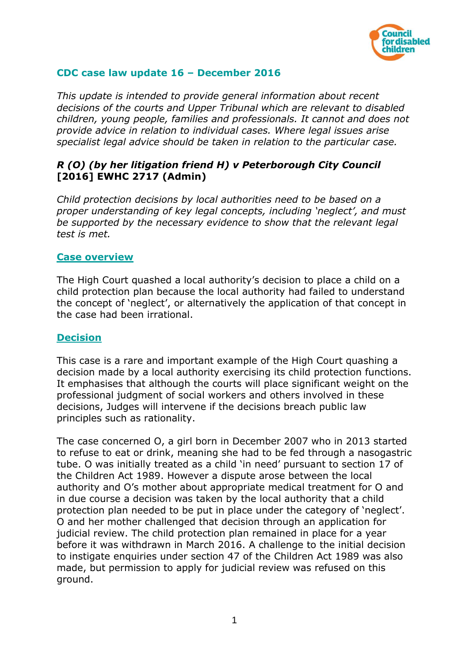

## **CDC case law update 16 – December 2016**

*This update is intended to provide general information about recent decisions of the courts and Upper Tribunal which are relevant to disabled children, young people, families and professionals. It cannot and does not provide advice in relation to individual cases. Where legal issues arise specialist legal advice should be taken in relation to the particular case.*

# *R (O) (by her litigation friend H) v Peterborough City Council*  **[2016] EWHC 2717 (Admin)**

*Child protection decisions by local authorities need to be based on a proper understanding of key legal concepts, including 'neglect', and must be supported by the necessary evidence to show that the relevant legal test is met.*

#### **Case overview**

The High Court quashed a local authority's decision to place a child on a child protection plan because the local authority had failed to understand the concept of 'neglect', or alternatively the application of that concept in the case had been irrational.

#### **Decision**

This case is a rare and important example of the High Court quashing a decision made by a local authority exercising its child protection functions. It emphasises that although the courts will place significant weight on the professional judgment of social workers and others involved in these decisions, Judges will intervene if the decisions breach public law principles such as rationality.

The case concerned O, a girl born in December 2007 who in 2013 started to refuse to eat or drink, meaning she had to be fed through a nasogastric tube. O was initially treated as a child 'in need' pursuant to section 17 of the Children Act 1989. However a dispute arose between the local authority and O's mother about appropriate medical treatment for O and in due course a decision was taken by the local authority that a child protection plan needed to be put in place under the category of 'neglect'. O and her mother challenged that decision through an application for judicial review. The child protection plan remained in place for a year before it was withdrawn in March 2016. A challenge to the initial decision to instigate enquiries under section 47 of the Children Act 1989 was also made, but permission to apply for judicial review was refused on this ground.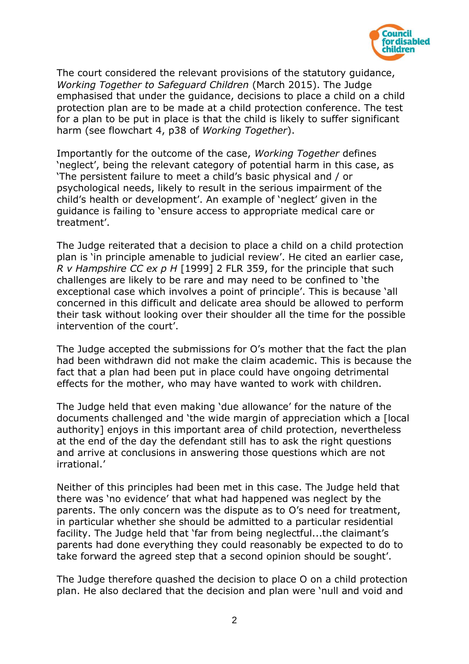

The court considered the relevant provisions of the statutory guidance, *Working Together to Safeguard Children* (March 2015). The Judge emphasised that under the guidance, decisions to place a child on a child protection plan are to be made at a child protection conference. The test for a plan to be put in place is that the child is likely to suffer significant harm (see flowchart 4, p38 of *Working Together*).

Importantly for the outcome of the case, *Working Together* defines 'neglect', being the relevant category of potential harm in this case, as 'The persistent failure to meet a child's basic physical and / or psychological needs, likely to result in the serious impairment of the child's health or development'. An example of 'neglect' given in the guidance is failing to 'ensure access to appropriate medical care or treatment'.

The Judge reiterated that a decision to place a child on a child protection plan is 'in principle amenable to judicial review'. He cited an earlier case, *R v Hampshire CC ex p H* [1999] 2 FLR 359, for the principle that such challenges are likely to be rare and may need to be confined to 'the exceptional case which involves a point of principle'. This is because 'all concerned in this difficult and delicate area should be allowed to perform their task without looking over their shoulder all the time for the possible intervention of the court'.

The Judge accepted the submissions for O's mother that the fact the plan had been withdrawn did not make the claim academic. This is because the fact that a plan had been put in place could have ongoing detrimental effects for the mother, who may have wanted to work with children.

The Judge held that even making 'due allowance' for the nature of the documents challenged and 'the wide margin of appreciation which a [local authority] enjoys in this important area of child protection, nevertheless at the end of the day the defendant still has to ask the right questions and arrive at conclusions in answering those questions which are not irrational.'

Neither of this principles had been met in this case. The Judge held that there was 'no evidence' that what had happened was neglect by the parents. The only concern was the dispute as to O's need for treatment, in particular whether she should be admitted to a particular residential facility. The Judge held that 'far from being neglectful...the claimant's parents had done everything they could reasonably be expected to do to take forward the agreed step that a second opinion should be sought'.

The Judge therefore quashed the decision to place O on a child protection plan. He also declared that the decision and plan were 'null and void and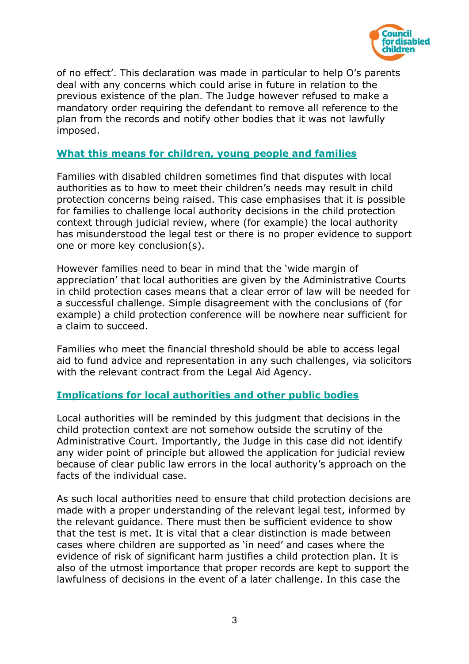

of no effect'. This declaration was made in particular to help O's parents deal with any concerns which could arise in future in relation to the previous existence of the plan. The Judge however refused to make a mandatory order requiring the defendant to remove all reference to the plan from the records and notify other bodies that it was not lawfully imposed.

### **What this means for children, young people and families**

Families with disabled children sometimes find that disputes with local authorities as to how to meet their children's needs may result in child protection concerns being raised. This case emphasises that it is possible for families to challenge local authority decisions in the child protection context through judicial review, where (for example) the local authority has misunderstood the legal test or there is no proper evidence to support one or more key conclusion(s).

However families need to bear in mind that the 'wide margin of appreciation' that local authorities are given by the Administrative Courts in child protection cases means that a clear error of law will be needed for a successful challenge. Simple disagreement with the conclusions of (for example) a child protection conference will be nowhere near sufficient for a claim to succeed.

Families who meet the financial threshold should be able to access legal aid to fund advice and representation in any such challenges, via solicitors with the relevant contract from the Legal Aid Agency.

#### **Implications for local authorities and other public bodies**

Local authorities will be reminded by this judgment that decisions in the child protection context are not somehow outside the scrutiny of the Administrative Court. Importantly, the Judge in this case did not identify any wider point of principle but allowed the application for judicial review because of clear public law errors in the local authority's approach on the facts of the individual case.

As such local authorities need to ensure that child protection decisions are made with a proper understanding of the relevant legal test, informed by the relevant guidance. There must then be sufficient evidence to show that the test is met. It is vital that a clear distinction is made between cases where children are supported as 'in need' and cases where the evidence of risk of significant harm justifies a child protection plan. It is also of the utmost importance that proper records are kept to support the lawfulness of decisions in the event of a later challenge. In this case the